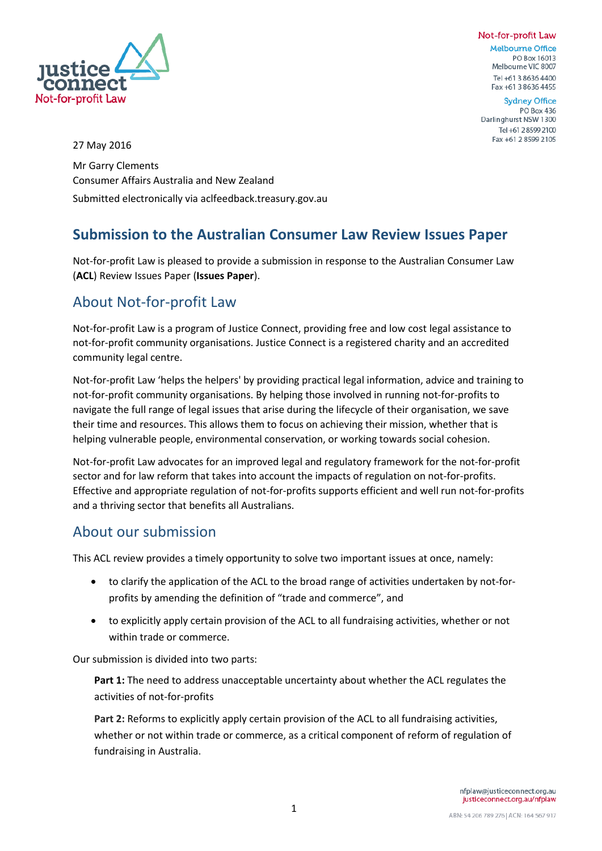### Not-for-profit Law



**Melbourne Office** PO Box 16013 Melbourne VIC 8007 Tel +61 3 8636 4400 Fax +61 3 8636 4455

**Sydney Office** PO Box 436 Darlinghurst NSW 1300 Tel +61 2 8599 2100 Fax +61 2 8599 2105

27 May 2016

Mr Garry Clements Consumer Affairs Australia and New Zealand Submitted electronically via aclfeedback.treasury.gov.au

### **Submission to the Australian Consumer Law Review Issues Paper**

Not-for-profit Law is pleased to provide a submission in response to the Australian Consumer Law (**ACL**) Review Issues Paper (**Issues Paper**).

### About Not-for-profit Law

Not-for-profit Law is a program of Justice Connect, providing free and low cost legal assistance to not-for-profit community organisations. Justice Connect is a registered charity and an accredited community legal centre.

Not-for-profit Law 'helps the helpers' by providing practical legal information, advice and training to not-for-profit community organisations. By helping those involved in running not-for-profits to navigate the full range of legal issues that arise during the lifecycle of their organisation, we save their time and resources. This allows them to focus on achieving their mission, whether that is helping vulnerable people, environmental conservation, or working towards social cohesion.

Not-for-profit Law advocates for an improved legal and regulatory framework for the not-for-profit sector and for law reform that takes into account the impacts of regulation on not-for-profits. Effective and appropriate regulation of not-for-profits supports efficient and well run not-for-profits and a thriving sector that benefits all Australians.

### About our submission

This ACL review provides a timely opportunity to solve two important issues at once, namely:

- to clarify the application of the ACL to the broad range of activities undertaken by not-forprofits by amending the definition of "trade and commerce", and
- to explicitly apply certain provision of the ACL to all fundraising activities, whether or not within trade or commerce.

Our submission is divided into two parts:

**Part 1:** The need to address unacceptable uncertainty about whether the ACL regulates the activities of not-for-profits

**Part 2:** Reforms to explicitly apply certain provision of the ACL to all fundraising activities, whether or not within trade or commerce, as a critical component of reform of regulation of fundraising in Australia.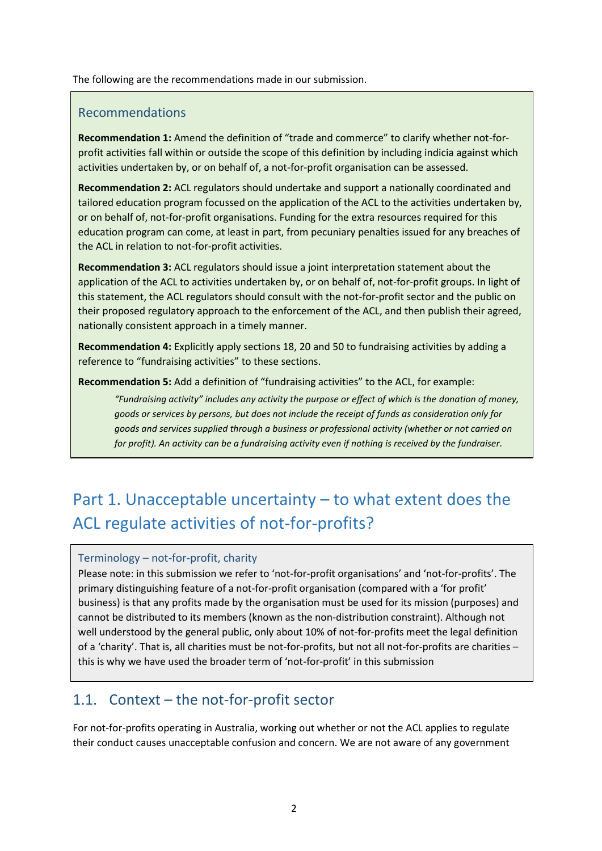The following are the recommendations made in our submission.

### Recommendations

**Recommendation 1:** Amend the definition of "trade and commerce" to clarify whether not-forprofit activities fall within or outside the scope of this definition by including indicia against which activities undertaken by, or on behalf of, a not-for-profit organisation can be assessed.

**Recommendation 2:** ACL regulators should undertake and support a nationally coordinated and tailored education program focussed on the application of the ACL to the activities undertaken by, or on behalf of, not-for-profit organisations. Funding for the extra resources required for this education program can come, at least in part, from pecuniary penalties issued for any breaches of the ACL in relation to not-for-profit activities.

**Recommendation 3:** ACL regulators should issue a joint interpretation statement about the application of the ACL to activities undertaken by, or on behalf of, not-for-profit groups. In light of this statement, the ACL regulators should consult with the not-for-profit sector and the public on their proposed regulatory approach to the enforcement of the ACL, and then publish their agreed, nationally consistent approach in a timely manner.

**Recommendation 4:** Explicitly apply sections 18, 20 and 50 to fundraising activities by adding a reference to "fundraising activities" to these sections.

**Recommendation 5:** Add a definition of "fundraising activities" to the ACL, for example:

*"Fundraising activity" includes any activity the purpose or effect of which is the donation of money, goods or services by persons, but does not include the receipt of funds as consideration only for goods and services supplied through a business or professional activity (whether or not carried on for profit). An activity can be a fundraising activity even if nothing is received by the fundraiser.*

# Part 1. Unacceptable uncertainty – to what extent does the ACL regulate activities of not-for-profits?

#### Terminology – not-for-profit, charity

Please note: in this submission we refer to 'not-for-profit organisations' and 'not-for-profits'. The primary distinguishing feature of a not-for-profit organisation (compared with a 'for profit' business) is that any profits made by the organisation must be used for its mission (purposes) and cannot be distributed to its members (known as the non-distribution constraint). Although not well understood by the general public, only about 10% of not-for-profits meet the legal definition of a 'charity'. That is, all charities must be not-for-profits, but not all not-for-profits are charities – this is why we have used the broader term of 'not-for-profit' in this submission

### 1.1. Context – the not-for-profit sector

For not-for-profits operating in Australia, working out whether or not the ACL applies to regulate their conduct causes unacceptable confusion and concern. We are not aware of any government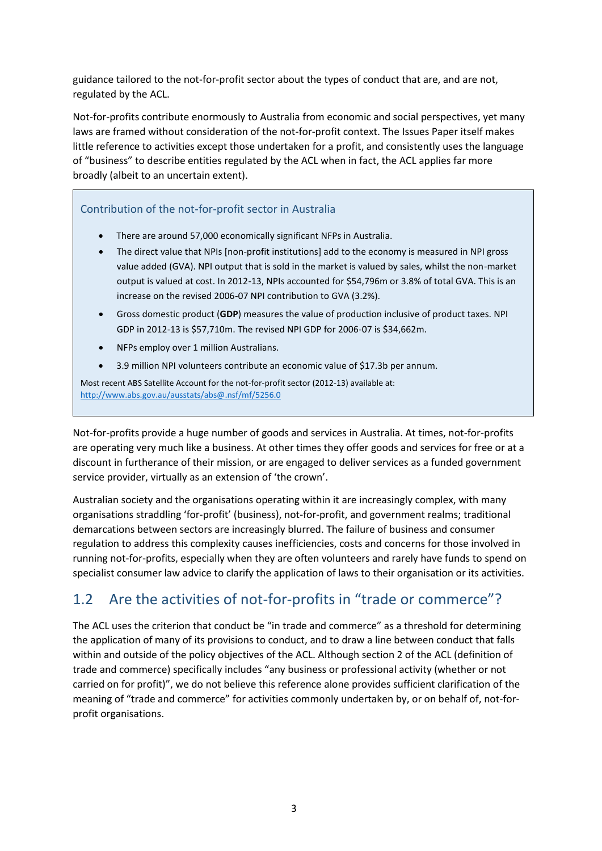guidance tailored to the not-for-profit sector about the types of conduct that are, and are not, regulated by the ACL.

Not-for-profits contribute enormously to Australia from economic and social perspectives, yet many laws are framed without consideration of the not-for-profit context. The Issues Paper itself makes little reference to activities except those undertaken for a profit, and consistently uses the language of "business" to describe entities regulated by the ACL when in fact, the ACL applies far more broadly (albeit to an uncertain extent).

Contribution of the not-for-profit sector in Australia

- There are around 57,000 economically significant NFPs in Australia.
- The direct value that NPIs [non-profit institutions] add to the economy is measured in NPI gross value added (GVA). NPI output that is sold in the market is valued by sales, whilst the non-market output is valued at cost. In 2012-13, NPIs accounted for \$54,796m or 3.8% of total GVA. This is an increase on the revised 2006-07 NPI contribution to GVA (3.2%).
- Gross domestic product (**GDP**) measures the value of production inclusive of product taxes. NPI GDP in 2012-13 is \$57,710m. The revised NPI GDP for 2006-07 is \$34,662m.
- NFPs employ over 1 million Australians.
- 3.9 million NPI volunteers contribute an economic value of \$17.3b per annum.

Most recent ABS Satellite Account for the not-for-profit sector (2012-13) available at: <http://www.abs.gov.au/ausstats/abs@.nsf/mf/5256.0>

Not-for-profits provide a huge number of goods and services in Australia. At times, not-for-profits are operating very much like a business. At other times they offer goods and services for free or at a discount in furtherance of their mission, or are engaged to deliver services as a funded government service provider, virtually as an extension of 'the crown'.

Australian society and the organisations operating within it are increasingly complex, with many organisations straddling 'for-profit' (business), not-for-profit, and government realms; traditional demarcations between sectors are increasingly blurred. The failure of business and consumer regulation to address this complexity causes inefficiencies, costs and concerns for those involved in running not-for-profits, especially when they are often volunteers and rarely have funds to spend on specialist consumer law advice to clarify the application of laws to their organisation or its activities.

## 1.2 Are the activities of not-for-profits in "trade or commerce"?

The ACL uses the criterion that conduct be "in trade and commerce" as a threshold for determining the application of many of its provisions to conduct, and to draw a line between conduct that falls within and outside of the policy objectives of the ACL. Although section 2 of the ACL (definition of trade and commerce) specifically includes "any business or professional activity (whether or not carried on for profit)", we do not believe this reference alone provides sufficient clarification of the meaning of "trade and commerce" for activities commonly undertaken by, or on behalf of, not-forprofit organisations.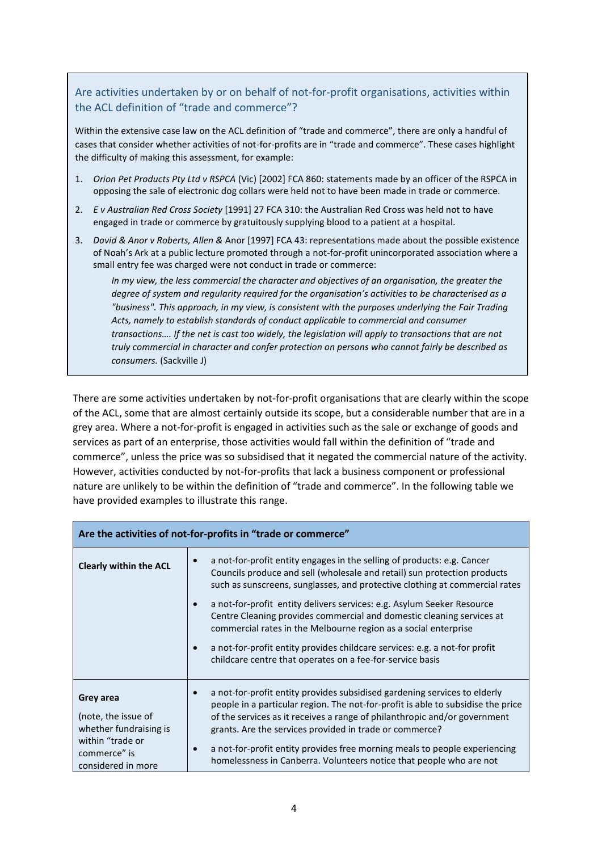### Are activities undertaken by or on behalf of not-for-profit organisations, activities within the ACL definition of "trade and commerce"?

Within the extensive case law on the ACL definition of "trade and commerce", there are only a handful of cases that consider whether activities of not-for-profits are in "trade and commerce". These cases highlight the difficulty of making this assessment, for example:

- 1. *Orion Pet Products Pty Ltd v RSPCA* (Vic) [2002] FCA 860: statements made by an officer of the RSPCA in opposing the sale of electronic dog collars were held not to have been made in trade or commerce.
- 2. *E v Australian Red Cross Society* [1991] 27 FCA 310: the Australian Red Cross was held not to have engaged in trade or commerce by gratuitously supplying blood to a patient at a hospital.
- 3. *David & Anor v Roberts, Allen &* Anor [1997] FCA 43: representations made about the possible existence of Noah's Ark at a public lecture promoted through a not-for-profit unincorporated association where a small entry fee was charged were not conduct in trade or commerce:

*In my view, the less commercial the character and objectives of an organisation, the greater the degree of system and regularity required for the organisation's activities to be characterised as a "business". This approach, in my view, is consistent with the purposes underlying the Fair Trading Acts, namely to establish standards of conduct applicable to commercial and consumer transactions…. If the net is cast too widely, the legislation will apply to transactions that are not truly commercial in character and confer protection on persons who cannot fairly be described as consumers.* (Sackville J)

There are some activities undertaken by not-for-profit organisations that are clearly within the scope of the ACL, some that are almost certainly outside its scope, but a considerable number that are in a grey area. Where a not-for-profit is engaged in activities such as the sale or exchange of goods and services as part of an enterprise, those activities would fall within the definition of "trade and commerce", unless the price was so subsidised that it negated the commercial nature of the activity. However, activities conducted by not-for-profits that lack a business component or professional nature are unlikely to be within the definition of "trade and commerce". In the following table we have provided examples to illustrate this range.

| Are the activities of not-for-profits in "trade or commerce"                                                         |                                                                                                                                                                                                                                                                                                                                                                                                                                                                                                                                                                                                     |  |  |
|----------------------------------------------------------------------------------------------------------------------|-----------------------------------------------------------------------------------------------------------------------------------------------------------------------------------------------------------------------------------------------------------------------------------------------------------------------------------------------------------------------------------------------------------------------------------------------------------------------------------------------------------------------------------------------------------------------------------------------------|--|--|
| <b>Clearly within the ACL</b>                                                                                        | a not-for-profit entity engages in the selling of products: e.g. Cancer<br>Councils produce and sell (wholesale and retail) sun protection products<br>such as sunscreens, sunglasses, and protective clothing at commercial rates<br>a not-for-profit entity delivers services: e.g. Asylum Seeker Resource<br>Centre Cleaning provides commercial and domestic cleaning services at<br>commercial rates in the Melbourne region as a social enterprise<br>a not-for-profit entity provides childcare services: e.g. a not-for profit<br>childcare centre that operates on a fee-for-service basis |  |  |
| Grey area<br>(note, the issue of<br>whether fundraising is<br>within "trade or<br>commerce" is<br>considered in more | a not-for-profit entity provides subsidised gardening services to elderly<br>people in a particular region. The not-for-profit is able to subsidise the price<br>of the services as it receives a range of philanthropic and/or government<br>grants. Are the services provided in trade or commerce?<br>a not-for-profit entity provides free morning meals to people experiencing<br>homelessness in Canberra. Volunteers notice that people who are not                                                                                                                                          |  |  |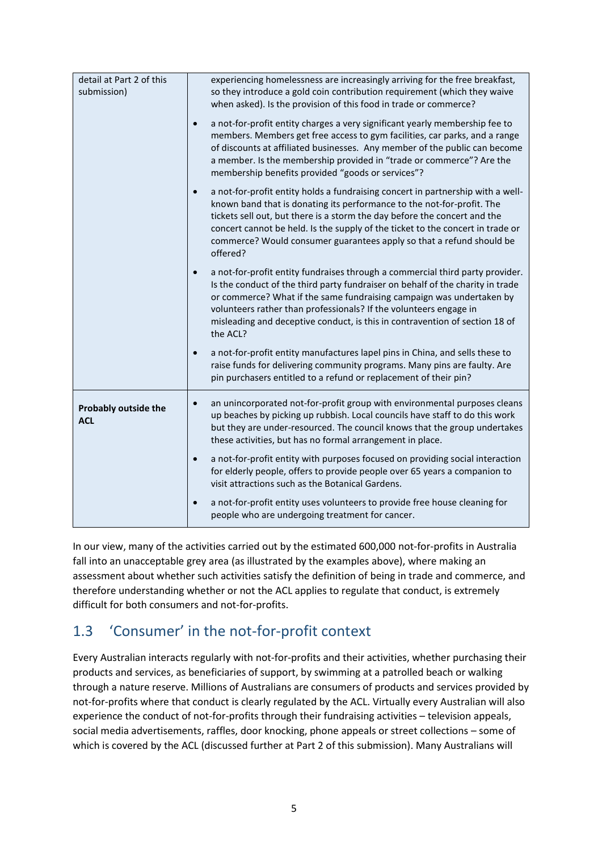| detail at Part 2 of this<br>submission)   |           | experiencing homelessness are increasingly arriving for the free breakfast,<br>so they introduce a gold coin contribution requirement (which they waive<br>when asked). Is the provision of this food in trade or commerce?                                                                                                                                                                                  |
|-------------------------------------------|-----------|--------------------------------------------------------------------------------------------------------------------------------------------------------------------------------------------------------------------------------------------------------------------------------------------------------------------------------------------------------------------------------------------------------------|
|                                           | $\bullet$ | a not-for-profit entity charges a very significant yearly membership fee to<br>members. Members get free access to gym facilities, car parks, and a range<br>of discounts at affiliated businesses. Any member of the public can become<br>a member. Is the membership provided in "trade or commerce"? Are the<br>membership benefits provided "goods or services"?                                         |
|                                           | $\bullet$ | a not-for-profit entity holds a fundraising concert in partnership with a well-<br>known band that is donating its performance to the not-for-profit. The<br>tickets sell out, but there is a storm the day before the concert and the<br>concert cannot be held. Is the supply of the ticket to the concert in trade or<br>commerce? Would consumer guarantees apply so that a refund should be<br>offered? |
|                                           | $\bullet$ | a not-for-profit entity fundraises through a commercial third party provider.<br>Is the conduct of the third party fundraiser on behalf of the charity in trade<br>or commerce? What if the same fundraising campaign was undertaken by<br>volunteers rather than professionals? If the volunteers engage in<br>misleading and deceptive conduct, is this in contravention of section 18 of<br>the ACL?      |
|                                           | $\bullet$ | a not-for-profit entity manufactures lapel pins in China, and sells these to<br>raise funds for delivering community programs. Many pins are faulty. Are<br>pin purchasers entitled to a refund or replacement of their pin?                                                                                                                                                                                 |
| <b>Probably outside the</b><br><b>ACL</b> | $\bullet$ | an unincorporated not-for-profit group with environmental purposes cleans<br>up beaches by picking up rubbish. Local councils have staff to do this work<br>but they are under-resourced. The council knows that the group undertakes<br>these activities, but has no formal arrangement in place.                                                                                                           |
|                                           | $\bullet$ | a not-for-profit entity with purposes focused on providing social interaction<br>for elderly people, offers to provide people over 65 years a companion to<br>visit attractions such as the Botanical Gardens.                                                                                                                                                                                               |
|                                           | $\bullet$ | a not-for-profit entity uses volunteers to provide free house cleaning for<br>people who are undergoing treatment for cancer.                                                                                                                                                                                                                                                                                |

In our view, many of the activities carried out by the estimated 600,000 not-for-profits in Australia fall into an unacceptable grey area (as illustrated by the examples above), where making an assessment about whether such activities satisfy the definition of being in trade and commerce, and therefore understanding whether or not the ACL applies to regulate that conduct, is extremely difficult for both consumers and not-for-profits.

## 1.3 'Consumer' in the not-for-profit context

Every Australian interacts regularly with not-for-profits and their activities, whether purchasing their products and services, as beneficiaries of support, by swimming at a patrolled beach or walking through a nature reserve. Millions of Australians are consumers of products and services provided by not-for-profits where that conduct is clearly regulated by the ACL. Virtually every Australian will also experience the conduct of not-for-profits through their fundraising activities – television appeals, social media advertisements, raffles, door knocking, phone appeals or street collections – some of which is covered by the ACL (discussed further at Part 2 of this submission). Many Australians will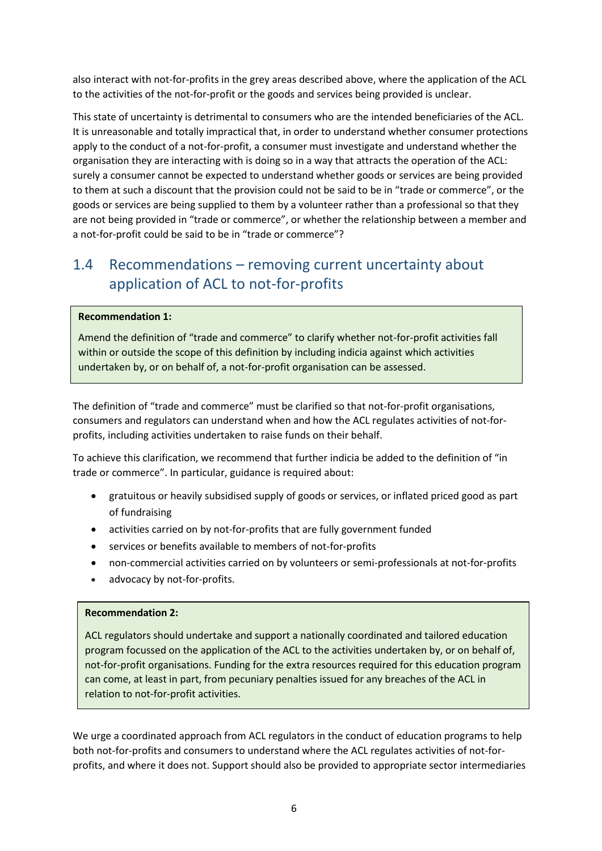also interact with not-for-profits in the grey areas described above, where the application of the ACL to the activities of the not-for-profit or the goods and services being provided is unclear.

This state of uncertainty is detrimental to consumers who are the intended beneficiaries of the ACL. It is unreasonable and totally impractical that, in order to understand whether consumer protections apply to the conduct of a not-for-profit, a consumer must investigate and understand whether the organisation they are interacting with is doing so in a way that attracts the operation of the ACL: surely a consumer cannot be expected to understand whether goods or services are being provided to them at such a discount that the provision could not be said to be in "trade or commerce", or the goods or services are being supplied to them by a volunteer rather than a professional so that they are not being provided in "trade or commerce", or whether the relationship between a member and a not-for-profit could be said to be in "trade or commerce"?

## 1.4 Recommendations – removing current uncertainty about application of ACL to not-for-profits

#### **Recommendation 1:**

Amend the definition of "trade and commerce" to clarify whether not-for-profit activities fall within or outside the scope of this definition by including indicia against which activities undertaken by, or on behalf of, a not-for-profit organisation can be assessed.

The definition of "trade and commerce" must be clarified so that not-for-profit organisations, consumers and regulators can understand when and how the ACL regulates activities of not-forprofits, including activities undertaken to raise funds on their behalf.

To achieve this clarification, we recommend that further indicia be added to the definition of "in trade or commerce". In particular, guidance is required about:

- gratuitous or heavily subsidised supply of goods or services, or inflated priced good as part of fundraising
- activities carried on by not-for-profits that are fully government funded
- services or benefits available to members of not-for-profits
- non-commercial activities carried on by volunteers or semi-professionals at not-for-profits
- advocacy by not-for-profits.

#### **Recommendation 2:**

ACL regulators should undertake and support a nationally coordinated and tailored education program focussed on the application of the ACL to the activities undertaken by, or on behalf of, not-for-profit organisations. Funding for the extra resources required for this education program can come, at least in part, from pecuniary penalties issued for any breaches of the ACL in relation to not-for-profit activities.

We urge a coordinated approach from ACL regulators in the conduct of education programs to help both not-for-profits and consumers to understand where the ACL regulates activities of not-forprofits, and where it does not. Support should also be provided to appropriate sector intermediaries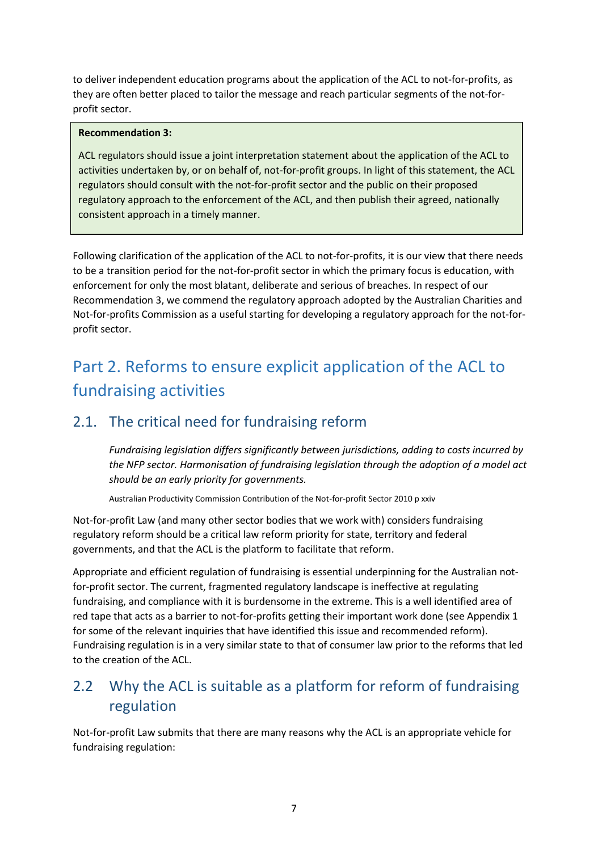to deliver independent education programs about the application of the ACL to not-for-profits, as they are often better placed to tailor the message and reach particular segments of the not-forprofit sector.

#### **Recommendation 3:**

ACL regulators should issue a joint interpretation statement about the application of the ACL to activities undertaken by, or on behalf of, not-for-profit groups. In light of this statement, the ACL regulators should consult with the not-for-profit sector and the public on their proposed regulatory approach to the enforcement of the ACL, and then publish their agreed, nationally consistent approach in a timely manner.

Following clarification of the application of the ACL to not-for-profits, it is our view that there needs to be a transition period for the not-for-profit sector in which the primary focus is education, with enforcement for only the most blatant, deliberate and serious of breaches. In respect of our Recommendation 3, we commend the regulatory approach adopted by the Australian Charities and Not-for-profits Commission as a useful starting for developing a regulatory approach for the not-forprofit sector.

# Part 2. Reforms to ensure explicit application of the ACL to fundraising activities

### 2.1. The critical need for fundraising reform

*Fundraising legislation differs significantly between jurisdictions, adding to costs incurred by the NFP sector. Harmonisation of fundraising legislation through the adoption of a model act should be an early priority for governments.* 

Australian Productivity Commission Contribution of the Not-for-profit Sector 2010 p xxiv

Not-for-profit Law (and many other sector bodies that we work with) considers fundraising regulatory reform should be a critical law reform priority for state, territory and federal governments, and that the ACL is the platform to facilitate that reform.

Appropriate and efficient regulation of fundraising is essential underpinning for the Australian notfor-profit sector. The current, fragmented regulatory landscape is ineffective at regulating fundraising, and compliance with it is burdensome in the extreme. This is a well identified area of red tape that acts as a barrier to not-for-profits getting their important work done (see Appendix 1 for some of the relevant inquiries that have identified this issue and recommended reform). Fundraising regulation is in a very similar state to that of consumer law prior to the reforms that led to the creation of the ACL.

## 2.2 Why the ACL is suitable as a platform for reform of fundraising regulation

Not-for-profit Law submits that there are many reasons why the ACL is an appropriate vehicle for fundraising regulation: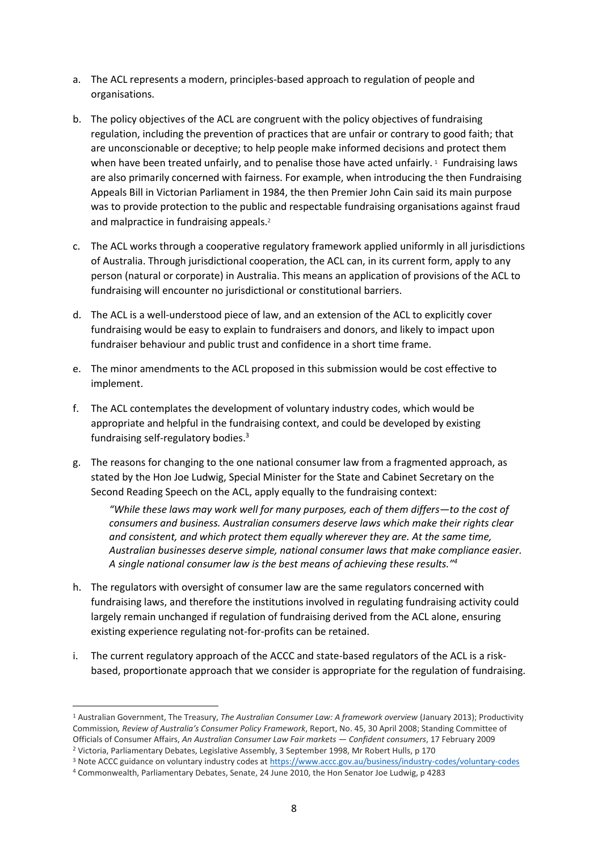- a. The ACL represents a modern, principles-based approach to regulation of people and organisations.
- b. The policy objectives of the ACL are congruent with the policy objectives of fundraising regulation, including the prevention of practices that are unfair or contrary to good faith; that are unconscionable or deceptive; to help people make informed decisions and protect them when have been treated unfairly, and to penalise those have acted unfairly.<sup>1</sup> Fundraising laws are also primarily concerned with fairness. For example, when introducing the then Fundraising Appeals Bill in Victorian Parliament in 1984, the then Premier John Cain said its main purpose was to provide protection to the public and respectable fundraising organisations against fraud and malpractice in fundraising appeals.<sup>2</sup>
- c. The ACL works through a cooperative regulatory framework applied uniformly in all jurisdictions of Australia. Through jurisdictional cooperation, the ACL can, in its current form, apply to any person (natural or corporate) in Australia. This means an application of provisions of the ACL to fundraising will encounter no jurisdictional or constitutional barriers.
- d. The ACL is a well-understood piece of law, and an extension of the ACL to explicitly cover fundraising would be easy to explain to fundraisers and donors, and likely to impact upon fundraiser behaviour and public trust and confidence in a short time frame.
- e. The minor amendments to the ACL proposed in this submission would be cost effective to implement.
- f. The ACL contemplates the development of voluntary industry codes, which would be appropriate and helpful in the fundraising context, and could be developed by existing fundraising self-regulatory bodies. 3
- g. The reasons for changing to the one national consumer law from a fragmented approach, as stated by the Hon Joe Ludwig, Special Minister for the State and Cabinet Secretary on the Second Reading Speech on the ACL, apply equally to the fundraising context:

*"While these laws may work well for many purposes, each of them differs—to the cost of consumers and business. Australian consumers deserve laws which make their rights clear and consistent, and which protect them equally wherever they are. At the same time, Australian businesses deserve simple, national consumer laws that make compliance easier. A single national consumer law is the best means of achieving these results."<sup>4</sup>*

- h. The regulators with oversight of consumer law are the same regulators concerned with fundraising laws, and therefore the institutions involved in regulating fundraising activity could largely remain unchanged if regulation of fundraising derived from the ACL alone, ensuring existing experience regulating not-for-profits can be retained.
- i. The current regulatory approach of the ACCC and state-based regulators of the ACL is a riskbased, proportionate approach that we consider is appropriate for the regulation of fundraising.

**.** 

<sup>1</sup> Australian Government, The Treasury, *The Australian Consumer Law: A framework overview* (January 2013); Productivity Commission*, Review of Australia's Consumer Policy Framework*, Report, No. 45, 30 April 2008; Standing Committee of Officials of Consumer Affairs, *An Australian Consumer Law Fair markets — Confident consumers*, 17 February 2009 <sup>2</sup> Victoria, Parliamentary Debates, Legislative Assembly, 3 September 1998, Mr Robert Hulls, p 170

<sup>3</sup> Note ACCC guidance on voluntary industry codes at<https://www.accc.gov.au/business/industry-codes/voluntary-codes>

<sup>4</sup> Commonwealth, Parliamentary Debates, Senate, 24 June 2010, the Hon Senator Joe Ludwig, p 4283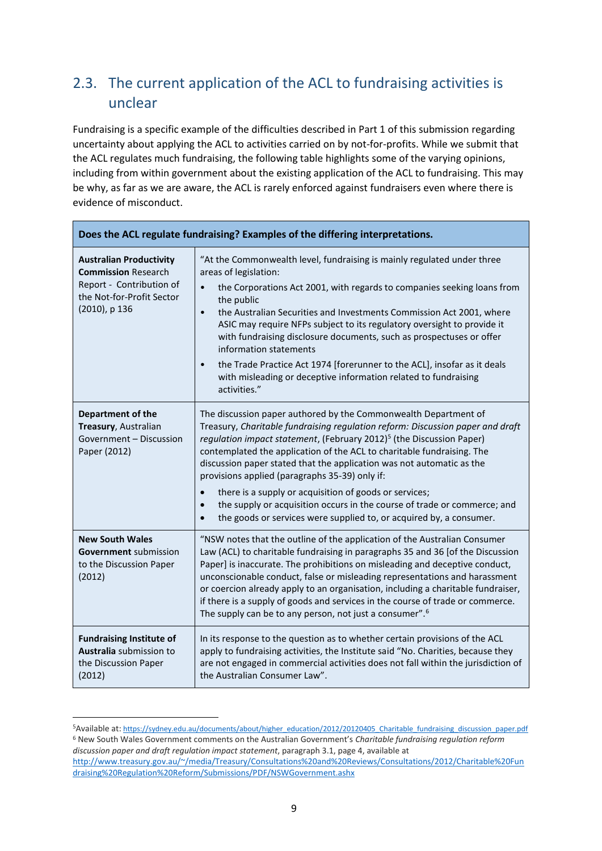## 2.3. The current application of the ACL to fundraising activities is unclear

Fundraising is a specific example of the difficulties described in Part 1 of this submission regarding uncertainty about applying the ACL to activities carried on by not-for-profits. While we submit that the ACL regulates much fundraising, the following table highlights some of the varying opinions, including from within government about the existing application of the ACL to fundraising. This may be why, as far as we are aware, the ACL is rarely enforced against fundraisers even where there is evidence of misconduct.

| Does the ACL regulate fundraising? Examples of the differing interpretations.                                                          |                                                                                                                                                                                                                                                                                                                                                                                                                                                                                                                                                                       |  |  |
|----------------------------------------------------------------------------------------------------------------------------------------|-----------------------------------------------------------------------------------------------------------------------------------------------------------------------------------------------------------------------------------------------------------------------------------------------------------------------------------------------------------------------------------------------------------------------------------------------------------------------------------------------------------------------------------------------------------------------|--|--|
| <b>Australian Productivity</b><br><b>Commission Research</b><br>Report - Contribution of<br>the Not-for-Profit Sector<br>(2010), p 136 | "At the Commonwealth level, fundraising is mainly regulated under three<br>areas of legislation:                                                                                                                                                                                                                                                                                                                                                                                                                                                                      |  |  |
|                                                                                                                                        | the Corporations Act 2001, with regards to companies seeking loans from<br>$\bullet$<br>the public                                                                                                                                                                                                                                                                                                                                                                                                                                                                    |  |  |
|                                                                                                                                        | the Australian Securities and Investments Commission Act 2001, where<br>$\bullet$<br>ASIC may require NFPs subject to its regulatory oversight to provide it<br>with fundraising disclosure documents, such as prospectuses or offer<br>information statements                                                                                                                                                                                                                                                                                                        |  |  |
|                                                                                                                                        | the Trade Practice Act 1974 [forerunner to the ACL], insofar as it deals<br>$\bullet$<br>with misleading or deceptive information related to fundraising<br>activities."                                                                                                                                                                                                                                                                                                                                                                                              |  |  |
| Department of the<br>Treasury, Australian<br>Government - Discussion<br>Paper (2012)                                                   | The discussion paper authored by the Commonwealth Department of<br>Treasury, Charitable fundraising regulation reform: Discussion paper and draft<br>regulation impact statement, (February 2012) <sup>5</sup> (the Discussion Paper)<br>contemplated the application of the ACL to charitable fundraising. The<br>discussion paper stated that the application was not automatic as the<br>provisions applied (paragraphs 35-39) only if:                                                                                                                            |  |  |
|                                                                                                                                        | there is a supply or acquisition of goods or services;<br>$\bullet$<br>the supply or acquisition occurs in the course of trade or commerce; and<br>$\bullet$<br>the goods or services were supplied to, or acquired by, a consumer.                                                                                                                                                                                                                                                                                                                                   |  |  |
| <b>New South Wales</b><br><b>Government</b> submission<br>to the Discussion Paper<br>(2012)                                            | "NSW notes that the outline of the application of the Australian Consumer<br>Law (ACL) to charitable fundraising in paragraphs 35 and 36 [of the Discussion<br>Paper] is inaccurate. The prohibitions on misleading and deceptive conduct,<br>unconscionable conduct, false or misleading representations and harassment<br>or coercion already apply to an organisation, including a charitable fundraiser,<br>if there is a supply of goods and services in the course of trade or commerce.<br>The supply can be to any person, not just a consumer". <sup>6</sup> |  |  |
| <b>Fundraising Institute of</b><br>Australia submission to<br>the Discussion Paper<br>(2012)                                           | In its response to the question as to whether certain provisions of the ACL<br>apply to fundraising activities, the Institute said "No. Charities, because they<br>are not engaged in commercial activities does not fall within the jurisdiction of<br>the Australian Consumer Law".                                                                                                                                                                                                                                                                                 |  |  |

<sup>5</sup>Available at: [https://sydney.edu.au/documents/about/higher\\_education/2012/20120405\\_Charitable\\_fundraising\\_discussion\\_paper.pdf](https://sydney.edu.au/documents/about/higher_education/2012/20120405_Charitable_fundraising_discussion_paper.pdf) <sup>6</sup> New South Wales Government comments on the Australian Government's *Charitable fundraising regulation reform discussion paper and draft regulation impact statement*, paragraph 3.1, page 4, available at [http://www.treasury.gov.au/~/media/Treasury/Consultations%20and%20Reviews/Consultations/2012/Charitable%20Fun](http://www.treasury.gov.au/~/media/Treasury/Consultations%20and%20Reviews/Consultations/2012/Charitable%20Fundraising%20Regulation%20Reform/Submissions/PDF/NSWGovernment.ashx) [draising%20Regulation%20Reform/Submissions/PDF/NSWGovernment.ashx](http://www.treasury.gov.au/~/media/Treasury/Consultations%20and%20Reviews/Consultations/2012/Charitable%20Fundraising%20Regulation%20Reform/Submissions/PDF/NSWGovernment.ashx)

**.**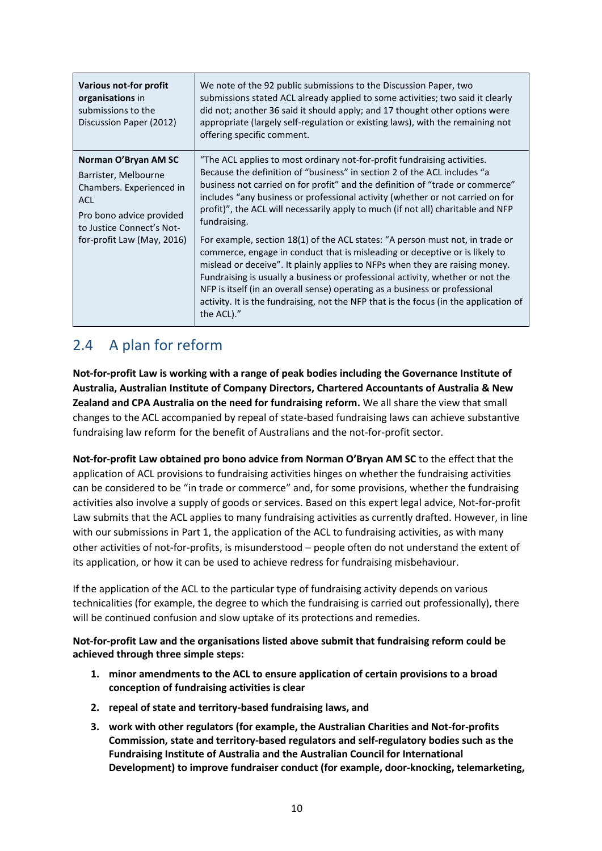| Various not-for profit<br>organisations in<br>submissions to the<br>Discussion Paper (2012)                                                                            | We note of the 92 public submissions to the Discussion Paper, two<br>submissions stated ACL already applied to some activities; two said it clearly<br>did not; another 36 said it should apply; and 17 thought other options were<br>appropriate (largely self-regulation or existing laws), with the remaining not<br>offering specific comment.                                                                                                                                                                                                                                                                                                                                                                                                                                                                                                                                                                                                  |
|------------------------------------------------------------------------------------------------------------------------------------------------------------------------|-----------------------------------------------------------------------------------------------------------------------------------------------------------------------------------------------------------------------------------------------------------------------------------------------------------------------------------------------------------------------------------------------------------------------------------------------------------------------------------------------------------------------------------------------------------------------------------------------------------------------------------------------------------------------------------------------------------------------------------------------------------------------------------------------------------------------------------------------------------------------------------------------------------------------------------------------------|
| Norman O'Bryan AM SC<br>Barrister, Melbourne<br>Chambers. Experienced in<br>ACL<br>Pro bono advice provided<br>to Justice Connect's Not-<br>for-profit Law (May, 2016) | "The ACL applies to most ordinary not-for-profit fundraising activities.<br>Because the definition of "business" in section 2 of the ACL includes "a<br>business not carried on for profit" and the definition of "trade or commerce"<br>includes "any business or professional activity (whether or not carried on for<br>profit)", the ACL will necessarily apply to much (if not all) charitable and NFP<br>fundraising.<br>For example, section 18(1) of the ACL states: "A person must not, in trade or<br>commerce, engage in conduct that is misleading or deceptive or is likely to<br>mislead or deceive". It plainly applies to NFPs when they are raising money.<br>Fundraising is usually a business or professional activity, whether or not the<br>NFP is itself (in an overall sense) operating as a business or professional<br>activity. It is the fundraising, not the NFP that is the focus (in the application of<br>the ACL)." |

### 2.4 A plan for reform

**Not-for-profit Law is working with a range of peak bodies including the Governance Institute of Australia, Australian Institute of Company Directors, Chartered Accountants of Australia & New Zealand and CPA Australia on the need for fundraising reform.** We all share the view that small changes to the ACL accompanied by repeal of state-based fundraising laws can achieve substantive fundraising law reform for the benefit of Australians and the not-for-profit sector.

**Not-for-profit Law obtained pro bono advice from Norman O'Bryan AM SC** to the effect that the application of ACL provisions to fundraising activities hinges on whether the fundraising activities can be considered to be "in trade or commerce" and, for some provisions, whether the fundraising activities also involve a supply of goods or services. Based on this expert legal advice, Not-for-profit Law submits that the ACL applies to many fundraising activities as currently drafted. However, in line with our submissions in Part 1, the application of the ACL to fundraising activities, as with many other activities of not-for-profits, is misunderstood - people often do not understand the extent of its application, or how it can be used to achieve redress for fundraising misbehaviour.

If the application of the ACL to the particular type of fundraising activity depends on various technicalities (for example, the degree to which the fundraising is carried out professionally), there will be continued confusion and slow uptake of its protections and remedies.

**Not-for-profit Law and the organisations listed above submit that fundraising reform could be achieved through three simple steps:**

- **1. minor amendments to the ACL to ensure application of certain provisions to a broad conception of fundraising activities is clear**
- **2. repeal of state and territory-based fundraising laws, and**
- **3. work with other regulators (for example, the Australian Charities and Not-for-profits Commission, state and territory-based regulators and self-regulatory bodies such as the Fundraising Institute of Australia and the Australian Council for International Development) to improve fundraiser conduct (for example, door-knocking, telemarketing,**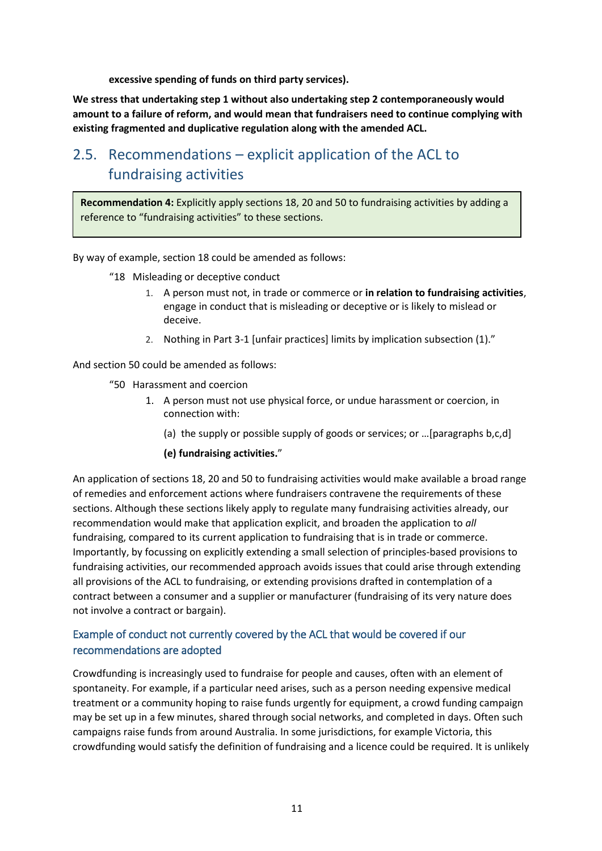**excessive spending of funds on third party services).**

**We stress that undertaking step 1 without also undertaking step 2 contemporaneously would amount to a failure of reform, and would mean that fundraisers need to continue complying with existing fragmented and duplicative regulation along with the amended ACL.**

## 2.5. Recommendations – explicit application of the ACL to fundraising activities

**Recommendation 4:** Explicitly apply sections 18, 20 and 50 to fundraising activities by adding a reference to "fundraising activities" to these sections.

By way of example, section 18 could be amended as follows:

- "18 Misleading or deceptive conduct
	- 1. A person must not, in trade or commerce or **in relation to fundraising activities**, engage in conduct that is misleading or deceptive or is likely to mislead or deceive.
	- 2. Nothing in Part 3-1 [unfair practices] limits by implication subsection (1)."

And section 50 could be amended as follows:

- "50 Harassment and coercion
	- 1. A person must not use physical force, or undue harassment or coercion, in connection with:
		- (a) the supply or possible supply of goods or services; or …[paragraphs b,c,d]

#### **(e) fundraising activities.**"

An application of sections 18, 20 and 50 to fundraising activities would make available a broad range of remedies and enforcement actions where fundraisers contravene the requirements of these sections. Although these sections likely apply to regulate many fundraising activities already, our recommendation would make that application explicit, and broaden the application to *all*  fundraising, compared to its current application to fundraising that is in trade or commerce. Importantly, by focussing on explicitly extending a small selection of principles-based provisions to fundraising activities, our recommended approach avoids issues that could arise through extending all provisions of the ACL to fundraising, or extending provisions drafted in contemplation of a contract between a consumer and a supplier or manufacturer (fundraising of its very nature does not involve a contract or bargain).

### Example of conduct not currently covered by the ACL that would be covered if our recommendations are adopted

Crowdfunding is increasingly used to fundraise for people and causes, often with an element of spontaneity. For example, if a particular need arises, such as a person needing expensive medical treatment or a community hoping to raise funds urgently for equipment, a crowd funding campaign may be set up in a few minutes, shared through social networks, and completed in days. Often such campaigns raise funds from around Australia. In some jurisdictions, for example Victoria, this crowdfunding would satisfy the definition of fundraising and a licence could be required. It is unlikely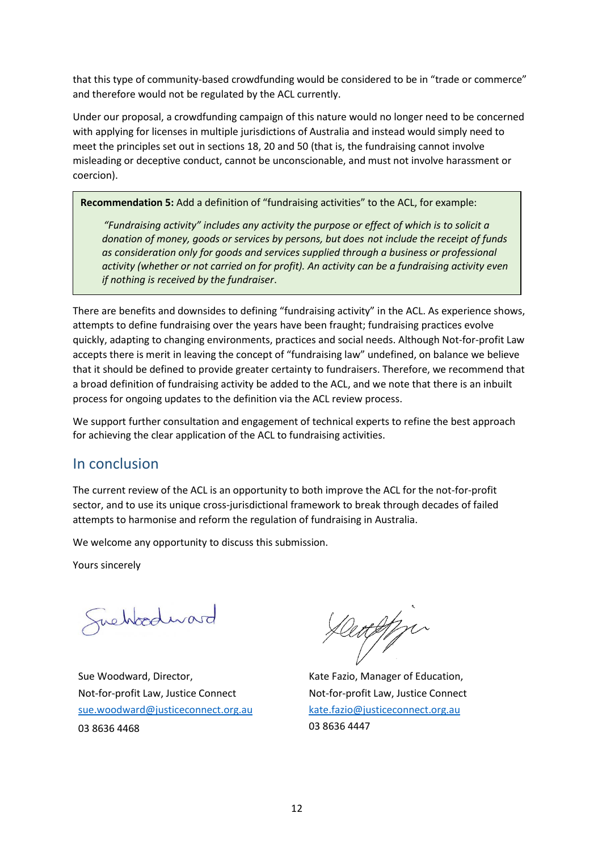that this type of community-based crowdfunding would be considered to be in "trade or commerce" and therefore would not be regulated by the ACL currently.

Under our proposal, a crowdfunding campaign of this nature would no longer need to be concerned with applying for licenses in multiple jurisdictions of Australia and instead would simply need to meet the principles set out in sections 18, 20 and 50 (that is, the fundraising cannot involve misleading or deceptive conduct, cannot be unconscionable, and must not involve harassment or coercion).

**Recommendation 5:** Add a definition of "fundraising activities" to the ACL, for example:

"Fundraising activity" includes any activity the purpose or effect of which is to solicit a *donation of money, goods or services by persons, but does not include the receipt of funds as consideration only for goods and services supplied through a business or professional activity (whether or not carried on for profit). An activity can be a fundraising activity even if nothing is received by the fundraiser*.

There are benefits and downsides to defining "fundraising activity" in the ACL. As experience shows, attempts to define fundraising over the years have been fraught; fundraising practices evolve quickly, adapting to changing environments, practices and social needs. Although Not-for-profit Law accepts there is merit in leaving the concept of "fundraising law" undefined, on balance we believe that it should be defined to provide greater certainty to fundraisers. Therefore, we recommend that a broad definition of fundraising activity be added to the ACL, and we note that there is an inbuilt process for ongoing updates to the definition via the ACL review process.

We support further consultation and engagement of technical experts to refine the best approach for achieving the clear application of the ACL to fundraising activities.

### In conclusion

The current review of the ACL is an opportunity to both improve the ACL for the not-for-profit sector, and to use its unique cross-jurisdictional framework to break through decades of failed attempts to harmonise and reform the regulation of fundraising in Australia.

We welcome any opportunity to discuss this submission.

Yours sincerely

quehoodward

Sue Woodward, Director, Not-for-profit Law, Justice Connect [sue.woodward@justiceconnect.org.au](mailto:sue.woodward@justiceconnect.org.au) 03 8636 4468

Centifin

Kate Fazio, Manager of Education, Not-for-profit Law, Justice Connect [kate.fazio@justiceconnect.org.au](mailto:kate.fazio@justiceconnect.org.au) 03 8636 4447